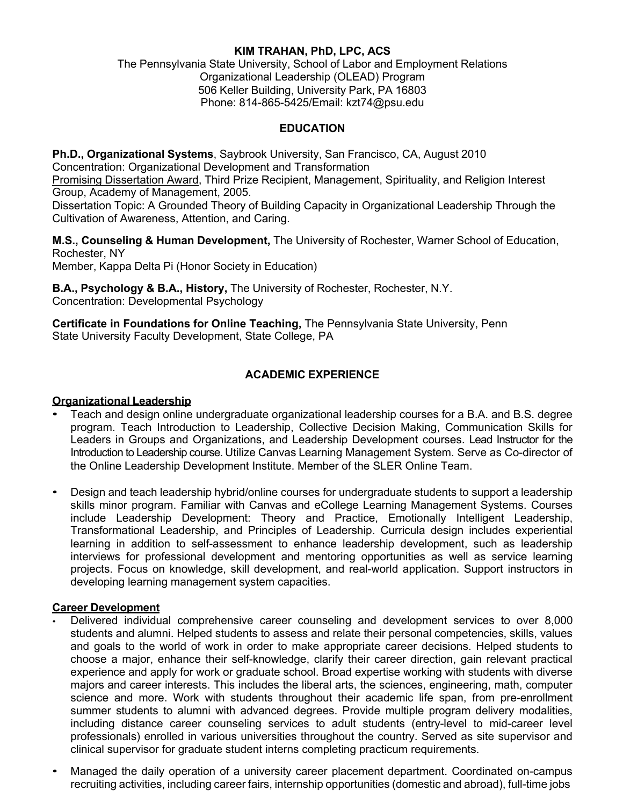### **KIM TRAHAN, PhD, LPC, ACS**

The Pennsylvania State University, School of Labor and Employment Relations Organizational Leadership (OLEAD) Program 506 Keller Building, University Park, PA 16803 Phone: 814-865-5425/Email: kzt74@psu.edu

### **EDUCATION**

**Ph.D., Organizational Systems**, Saybrook University, San Francisco, CA, August 2010 Concentration: Organizational Development and Transformation

Promising Dissertation Award, Third Prize Recipient, Management, Spirituality, and Religion Interest Group, Academy of Management, 2005.

Dissertation Topic: A Grounded Theory of Building Capacity in Organizational Leadership Through the Cultivation of Awareness, Attention, and Caring.

**M.S., Counseling & Human Development,** The University of Rochester, Warner School of Education, Rochester, NY

Member, Kappa Delta Pi (Honor Society in Education)

**B.A., Psychology & B.A., History,** The University of Rochester, Rochester, N.Y. Concentration: Developmental Psychology

**Certificate in Foundations for Online Teaching,** The Pennsylvania State University, Penn State University Faculty Development, State College, PA

## **ACADEMIC EXPERIENCE**

#### **Organizational Leadership**

- Teach and design online undergraduate organizational leadership courses for a B.A. and B.S. degree program. Teach Introduction to Leadership, Collective Decision Making, Communication Skills for Leaders in Groups and Organizations, and Leadership Development courses. Lead Instructor for the Introduction to Leadership course. Utilize Canvas Learning Management System. Serve as Co-director of the Online Leadership Development Institute. Member of the SLER Online Team.
- Design and teach leadership hybrid/online courses for undergraduate students to support a leadership skills minor program. Familiar with Canvas and eCollege Learning Management Systems. Courses include Leadership Development: Theory and Practice, Emotionally Intelligent Leadership, Transformational Leadership, and Principles of Leadership. Curricula design includes experiential learning in addition to self-assessment to enhance leadership development, such as leadership interviews for professional development and mentoring opportunities as well as service learning projects. Focus on knowledge, skill development, and real-world application. Support instructors in developing learning management system capacities.

#### **Career Development**

- Delivered individual comprehensive career counseling and development services to over 8,000 students and alumni. Helped students to assess and relate their personal competencies, skills, values and goals to the world of work in order to make appropriate career decisions. Helped students to choose a major, enhance their self-knowledge, clarify their career direction, gain relevant practical experience and apply for work or graduate school. Broad expertise working with students with diverse majors and career interests. This includes the liberal arts, the sciences, engineering, math, computer science and more. Work with students throughout their academic life span, from pre-enrollment summer students to alumni with advanced degrees. Provide multiple program delivery modalities, including distance career counseling services to adult students (entry-level to mid-career level professionals) enrolled in various universities throughout the country. Served as site supervisor and clinical supervisor for graduate student interns completing practicum requirements.
- Managed the daily operation of a university career placement department. Coordinated on-campus recruiting activities, including career fairs, internship opportunities (domestic and abroad), full-time jobs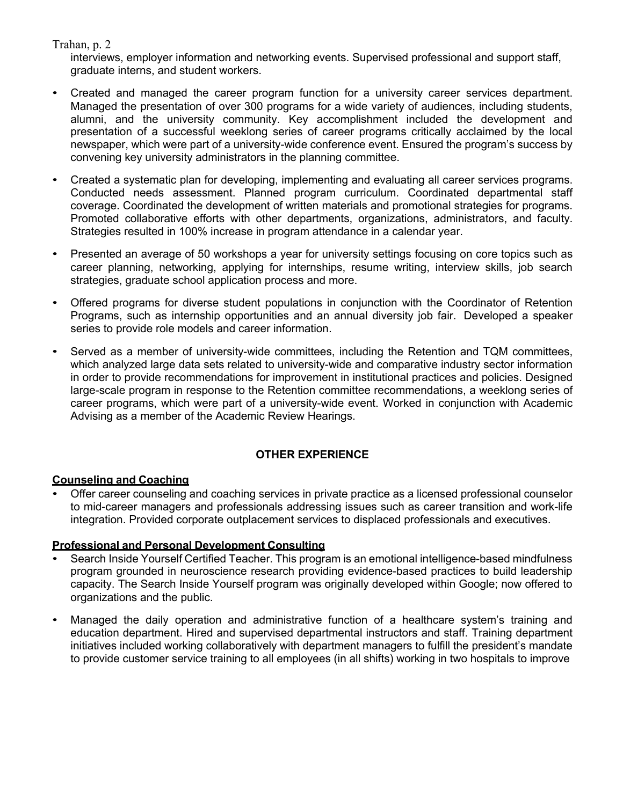## Trahan, p. 2

interviews, employer information and networking events. Supervised professional and support staff, graduate interns, and student workers.

- Created and managed the career program function for a university career services department. Managed the presentation of over 300 programs for a wide variety of audiences, including students, alumni, and the university community. Key accomplishment included the development and presentation of a successful weeklong series of career programs critically acclaimed by the local newspaper, which were part of a university-wide conference event. Ensured the program's success by convening key university administrators in the planning committee.
- Created a systematic plan for developing, implementing and evaluating all career services programs. Conducted needs assessment. Planned program curriculum. Coordinated departmental staff coverage. Coordinated the development of written materials and promotional strategies for programs. Promoted collaborative efforts with other departments, organizations, administrators, and faculty. Strategies resulted in 100% increase in program attendance in a calendar year.
- Presented an average of 50 workshops a year for university settings focusing on core topics such as career planning, networking, applying for internships, resume writing, interview skills, job search strategies, graduate school application process and more.
- Offered programs for diverse student populations in conjunction with the Coordinator of Retention Programs, such as internship opportunities and an annual diversity job fair. Developed a speaker series to provide role models and career information.
- Served as a member of university-wide committees, including the Retention and TQM committees, which analyzed large data sets related to university-wide and comparative industry sector information in order to provide recommendations for improvement in institutional practices and policies. Designed large-scale program in response to the Retention committee recommendations, a weeklong series of career programs, which were part of a university-wide event. Worked in conjunction with Academic Advising as a member of the Academic Review Hearings.

# **OTHER EXPERIENCE**

### **Counseling and Coaching**

• Offer career counseling and coaching services in private practice as a licensed professional counselor to mid-career managers and professionals addressing issues such as career transition and work-life integration. Provided corporate outplacement services to displaced professionals and executives.

### **Professional and Personal Development Consulting**

- Search Inside Yourself Certified Teacher. This program is an emotional intelligence-based mindfulness program grounded in neuroscience research providing evidence-based practices to build leadership capacity. The Search Inside Yourself program was originally developed within Google; now offered to organizations and the public.
- Managed the daily operation and administrative function of a healthcare system's training and education department. Hired and supervised departmental instructors and staff. Training department initiatives included working collaboratively with department managers to fulfill the president's mandate to provide customer service training to all employees (in all shifts) working in two hospitals to improve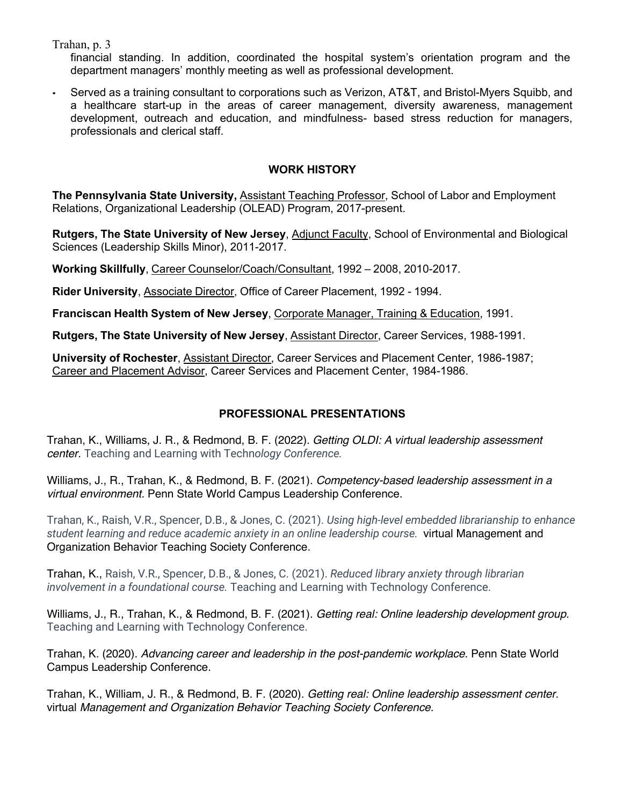Trahan, p. 3

financial standing. In addition, coordinated the hospital system's orientation program and the department managers' monthly meeting as well as professional development.

• Served as a training consultant to corporations such as Verizon, AT&T, and Bristol-Myers Squibb, and a healthcare start-up in the areas of career management, diversity awareness, management development, outreach and education, and mindfulness- based stress reduction for managers, professionals and clerical staff.

## **WORK HISTORY**

**The Pennsylvania State University,** Assistant Teaching Professor, School of Labor and Employment Relations, Organizational Leadership (OLEAD) Program, 2017-present.

**Rutgers, The State University of New Jersey**, Adjunct Faculty, School of Environmental and Biological Sciences (Leadership Skills Minor), 2011-2017.

**Working Skillfully**, Career Counselor/Coach/Consultant, 1992 – 2008, 2010-2017.

**Rider University**, Associate Director, Office of Career Placement, 1992 - 1994.

**Franciscan Health System of New Jersey**, Corporate Manager, Training & Education, 1991.

**Rutgers, The State University of New Jersey**, Assistant Director, Career Services, 1988-1991.

**University of Rochester**, Assistant Director, Career Services and Placement Center, 1986-1987; Career and Placement Advisor, Career Services and Placement Center, 1984-1986.

# **PROFESSIONAL PRESENTATIONS**

Trahan, K., Williams, J. R., & Redmond, B. F. (2022). *Getting OLDI: A virtual leadership assessment center.* Teaching and Learning with Techn*ology Conference.*

Williams, J., R., Trahan, K., & Redmond, B. F. (2021). *Competency-based leadership assessment in a virtual environment.* Penn State World Campus Leadership Conference.

Trahan, K., Raish, V.R., Spencer, D.B., & Jones, C. (2021). *Using high-level embedded librarianship to enhance student learning and reduce academic anxiety in an online leadership course.* virtual Management and Organization Behavior Teaching Society Conference.

Trahan, K., Raish, V.R., Spencer, D.B., & Jones, C. (2021). *Reduced library anxiety through librarian involvement in a foundational course.* Teaching and Learning with Technology Conference.

Williams, J., R., Trahan, K., & Redmond, B. F. (2021). *Getting real: Online leadership development group.* Teaching and Learning with Technology Conference.

Trahan, K. (2020). *Advancing career and leadership in the post-pandemic workplace.* Penn State World Campus Leadership Conference.

Trahan, K., William, J. R., & Redmond, B. F. (2020). *Getting real: Online leadership assessment center.* virtual *Management and Organization Behavior Teaching Society Conference*.